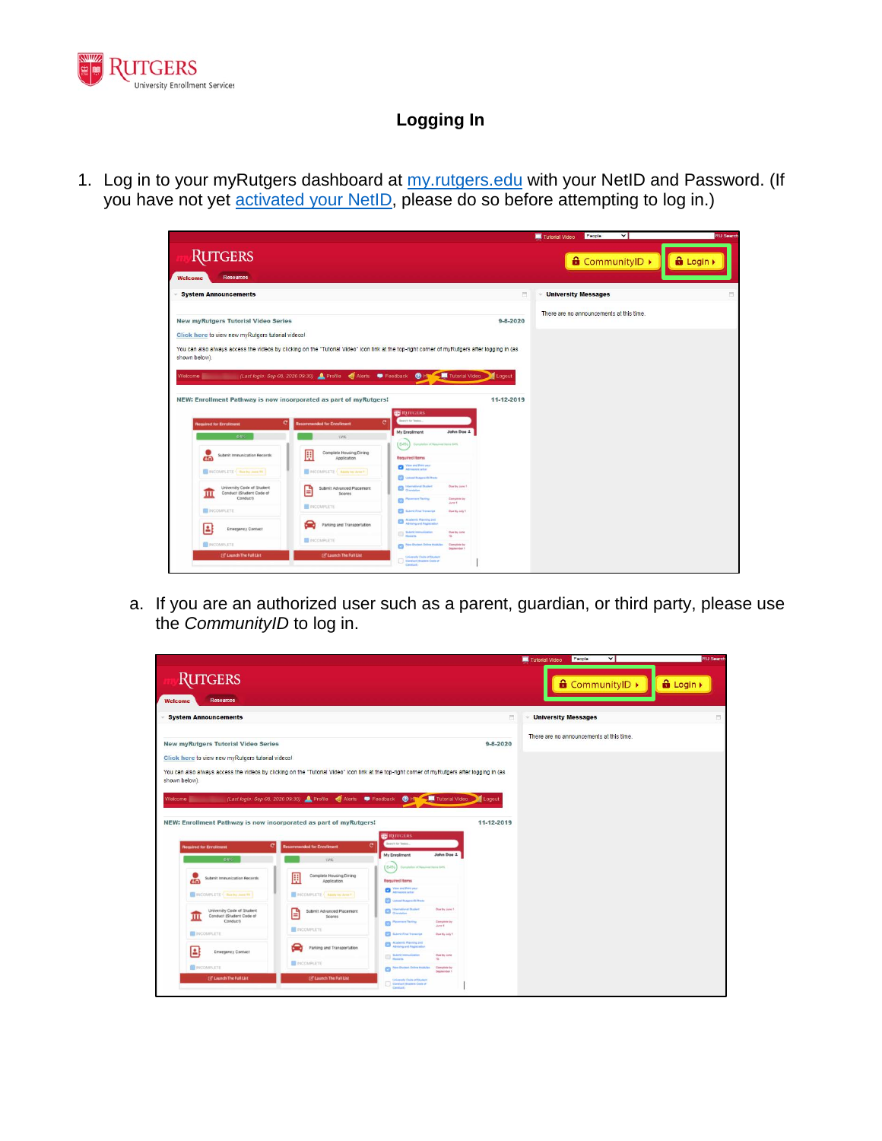

## **Logging In**

1. Log in to your myRutgers dashboard at *[my.rutgers.edu](https://my.rutgers.edu/portal/render.userLayoutRootNode.uP;jsessionid=ACF6F78DFF7DA95995F905318566EDE1)* with your NetID and Password. (If you have not yet <u>activated your NetID,</u> please do so before attempting to log in.)

| <b>RUTGERS</b><br><b>Resources</b><br>Welcome<br><b>System Announcements</b><br><b>New myRutgers Tutorial Video Series</b><br>Click here to view new myRutgers tutorial videos! |                                                    |                                                                    |                        | 员.<br>$9 - 8 - 2020$    | <b>University Messages</b> | <b>a</b> CommunityID ▶<br>There are no announcements at this time. | <b>a</b> Login »<br>o. |
|---------------------------------------------------------------------------------------------------------------------------------------------------------------------------------|----------------------------------------------------|--------------------------------------------------------------------|------------------------|-------------------------|----------------------------|--------------------------------------------------------------------|------------------------|
|                                                                                                                                                                                 |                                                    |                                                                    |                        |                         |                            |                                                                    |                        |
|                                                                                                                                                                                 |                                                    |                                                                    |                        |                         |                            |                                                                    |                        |
|                                                                                                                                                                                 |                                                    |                                                                    |                        |                         |                            |                                                                    |                        |
|                                                                                                                                                                                 |                                                    |                                                                    |                        |                         |                            |                                                                    |                        |
|                                                                                                                                                                                 |                                                    |                                                                    |                        |                         |                            |                                                                    |                        |
|                                                                                                                                                                                 |                                                    |                                                                    |                        |                         |                            |                                                                    |                        |
| You can also always access the videos by clicking on the "Tutorial Video" icon link at the top-right corner of myRutgers after logging in (as                                   |                                                    |                                                                    |                        |                         |                            |                                                                    |                        |
| shown below).                                                                                                                                                                   |                                                    |                                                                    |                        |                         |                            |                                                                    |                        |
| Welcome (Last login: Sep 08, 2020 09:30) <b>A</b> Profile of Alerts <b>P</b> Feedback <b>O</b> Hall                                                                             |                                                    |                                                                    |                        | Tutorial Video I Logout |                            |                                                                    |                        |
|                                                                                                                                                                                 |                                                    |                                                                    |                        |                         |                            |                                                                    |                        |
| NEW: Enrollment Pathway is now incorporated as part of myRutgers!                                                                                                               |                                                    |                                                                    |                        | 11-12-2019              |                            |                                                                    |                        |
|                                                                                                                                                                                 |                                                    | <b>B</b> RUTTGERS                                                  |                        |                         |                            |                                                                    |                        |
| c<br><b>Jequired for Enrollment</b>                                                                                                                                             | commended for Enrollment                           | earch for Todos.<br>$\mathbf{C}$                                   |                        |                         |                            |                                                                    |                        |
| 64%                                                                                                                                                                             | TPK.                                               | My Enrollment                                                      | John Doe 1             |                         |                            |                                                                    |                        |
|                                                                                                                                                                                 |                                                    | 64%<br>Completion of Required Items (LPS)                          |                        |                         |                            |                                                                    |                        |
| Submit Immunization Records<br>60                                                                                                                                               | Complete Housing/Dining<br>閧<br><b>Application</b> | <b>Required Items</b>                                              |                        |                         |                            |                                                                    |                        |
| IN INCOMPLETE S That he made fit                                                                                                                                                | PACOMPLETE A ABOV NE ANIET                         | <b>View and Print your</b><br><b>Admission Letter</b>              |                        |                         |                            |                                                                    |                        |
|                                                                                                                                                                                 |                                                    | <b>Call Uplicant Russers (D Photo)</b>                             |                        |                         |                            |                                                                    |                        |
| University Code of Student<br>Conduct (Student Code of<br>Ш                                                                                                                     | Submit Advanced Placement<br>E<br>Scores           | <b>California Dubrit</b>                                           | Due by June 1          |                         |                            |                                                                    |                        |
| Canduct)                                                                                                                                                                        | <b>B</b> INCOMPLETE                                | <b>Contract Server</b>                                             | Complete by<br>June 1  |                         |                            |                                                                    |                        |
| <b>NOOMPLETE</b>                                                                                                                                                                |                                                    | <b>Call School Financial</b>                                       | Don by July 1          |                         |                            |                                                                    |                        |
| ₽<br><b>Emergency Contact</b>                                                                                                                                                   | ⊷<br>Parking and Transportation                    | <b>Conferric Flaming and</b><br><b>Conferric Flaming and</b>       |                        |                         |                            |                                                                    |                        |
|                                                                                                                                                                                 | <b>BE INCOMPLETE</b>                               | <b>CO</b> School International                                     | Due by June<br>$^{16}$ |                         |                            |                                                                    |                        |
| <b>NCOMPLETE</b>                                                                                                                                                                |                                                    | The Student Online Mudules Complete by                             | September 1            |                         |                            |                                                                    |                        |
| <b>ES Launch The Full List</b>                                                                                                                                                  | [2] Launch The Full List                           | University Code of Sources<br>Conduct (Student Code of<br>Contact: |                        |                         |                            |                                                                    |                        |

a. If you are an authorized user such as a parent, guardian, or third party, please use the *CommunityID* to log in.

|                                                                                                                                               |                                             |                                                                                            |                                      |                | People<br>$\vee$<br>Tutorial Video       | <b>RU Search</b> |
|-----------------------------------------------------------------------------------------------------------------------------------------------|---------------------------------------------|--------------------------------------------------------------------------------------------|--------------------------------------|----------------|------------------------------------------|------------------|
| <b>RUTGERS</b>                                                                                                                                |                                             |                                                                                            |                                      |                | <b>a</b> CommunityID •                   | <b>a</b> Login » |
| <b>Resources</b><br>Welcome                                                                                                                   |                                             |                                                                                            |                                      |                |                                          |                  |
| <b>System Announcements</b>                                                                                                                   |                                             |                                                                                            |                                      | a              | <b>University Messages</b>               | o                |
| <b>New myRutgers Tutorial Video Series</b>                                                                                                    |                                             |                                                                                            |                                      | $9 - 8 - 2020$ | There are no announcements at this time. |                  |
| Click here to view new myRutgers tutorial videos!                                                                                             |                                             |                                                                                            |                                      |                |                                          |                  |
| You can also always access the videos by clicking on the "Tutorial Video" icon link at the top-right corner of myRutgers after logging in (as |                                             |                                                                                            |                                      |                |                                          |                  |
| shown below).                                                                                                                                 |                                             |                                                                                            |                                      |                |                                          |                  |
| Welcome (Last login: Sep 08, 2020 09:30) Profile of Alerts P Feedback                                                                         |                                             |                                                                                            | <b>O HIM Tutorial Video I</b> Logout |                |                                          |                  |
|                                                                                                                                               |                                             |                                                                                            |                                      |                |                                          |                  |
| NEW: Enrollment Pathway is now incorporated as part of myRutgers!                                                                             |                                             |                                                                                            |                                      | 11-12-2019     |                                          |                  |
|                                                                                                                                               |                                             | <b>GO RUTGERS</b>                                                                          |                                      |                |                                          |                  |
| c<br><b>Required for Enrollment</b>                                                                                                           | commended for Enrollment                    | Search for Testes<br>$\mathbf{C}$                                                          |                                      |                |                                          |                  |
| 64%                                                                                                                                           | 77%                                         | My Enrollment                                                                              | John Doe 1                           |                |                                          |                  |
| Submit Immunization Records<br>(56)                                                                                                           | 厠<br>Complete Housing/Dining<br>Application | 64%<br>Completion of Required Serve GAS<br><b>Required Items</b>                           |                                      |                |                                          |                  |
| IS INCOMPLETE S The by mee IX                                                                                                                 | INCOMPLETE - Apply by June 1:               | The and first year<br><b>Admission Latter</b><br>Uptual Ruspers ID Photo                   |                                      |                |                                          |                  |
| University Code of Student<br>Conduct (Student Code of<br>ш<br>Conduct)                                                                       | 日<br>Submit Advanced Placement<br>Scores    | <b>Call International Dusters</b><br>Crismation<br><b>Contact Teng</b>                     | Due by June 1<br>Complete by         |                |                                          |                  |
| <b>NOOMPLETE</b>                                                                                                                              | <b>B</b> INCOMPLETE                         | <b>Call School Financial Company</b>                                                       | June 1<br>Don by July 1              |                |                                          |                  |
| Р<br><b>Emergency Contact</b>                                                                                                                 | e<br>Parking and Transportation             | Academic Planning and<br><b>Containing and Registration</b><br><b>CO</b> School Insurances | Due by June                          |                |                                          |                  |
| <b>NCOMPLETE</b>                                                                                                                              | <b>BE INCOMPLETE</b>                        | The Student Online Modules Complete by                                                     | 15<br>September 1                    |                |                                          |                  |
| <b>ES Launch The Full List</b>                                                                                                                | <b>EX Launch The Full List</b>              | University Code of Sources<br>Conduct (Student Code of<br>Contact:                         |                                      |                |                                          |                  |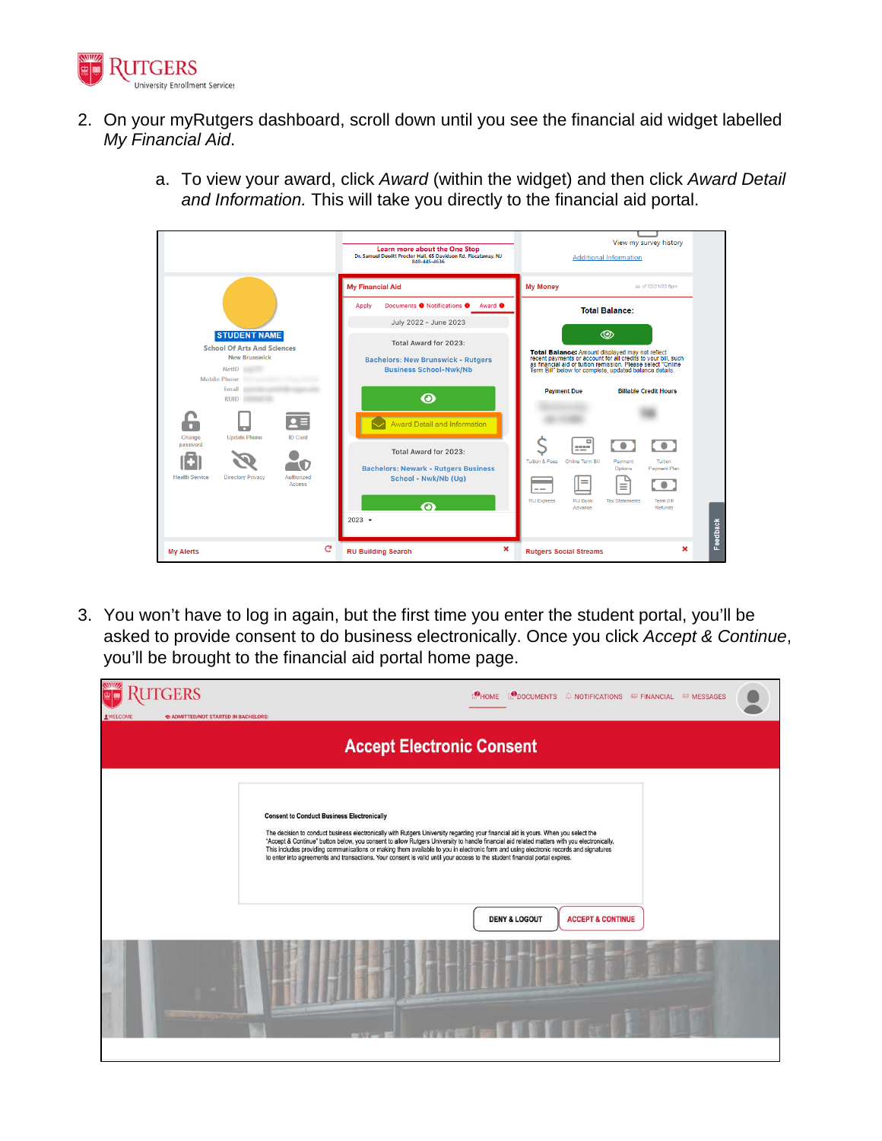

- 2. On your myRutgers dashboard, scroll down until you see the financial aid widget labelled *My Financial Aid*.
	- a. To view your award, click *Award* (within the widget) and then click *Award Detail and Information.* This will take you directly to the financial aid portal.

|                                                                                                                                                                                                                                                                                              | Learn more about the One Stop<br>Dr. Samuel Dewitt Proctor Hall, 65 Davidson Rd, Piscataway, NJ<br>848-445-4636                                                                                                                                                                                                                                                                                          | View my survey history<br><b>Additional Information</b>                                                                                                                                                                                                                                                                                                                                                                                                                                                                                                                                                                          |          |
|----------------------------------------------------------------------------------------------------------------------------------------------------------------------------------------------------------------------------------------------------------------------------------------------|----------------------------------------------------------------------------------------------------------------------------------------------------------------------------------------------------------------------------------------------------------------------------------------------------------------------------------------------------------------------------------------------------------|----------------------------------------------------------------------------------------------------------------------------------------------------------------------------------------------------------------------------------------------------------------------------------------------------------------------------------------------------------------------------------------------------------------------------------------------------------------------------------------------------------------------------------------------------------------------------------------------------------------------------------|----------|
| <b>STUDENT NAME</b><br><b>School Of Arts And Sciences</b><br><b>New Brunswick</b><br><b>NetID</b><br><b>Mobile Phone</b><br>Email<br><b>RUID</b><br>Change<br><b>Update Phone</b><br><b>ID Card</b><br>password<br><b>Health Service</b><br>Authorized<br><b>Directory Privacy</b><br>Access | <b>My Financial Aid</b><br>Documents <sup>O</sup> Notifications <sup>O</sup><br>Award <sup>O</sup><br>Apply<br>July 2022 - June 2023<br>Total Award for 2023:<br><b>Bachelors: New Brunswick - Rutgers</b><br><b>Business School-Nwk/Nb</b><br>⊙<br><b>Award Detail and Information</b><br>Total Award for 2023:<br><b>Bachelors: Newark - Rutgers Business</b><br>School - Nwk/Nb (Ug)<br>ക<br>$2023 -$ | <b>My Money</b><br>as of 02/21/22 5pm<br><b>Total Balance:</b><br>◉<br>Total Balance: Amount displayed may not reflect<br>recent payments or account for all credits to your bill, such<br>as financial aid or tuition remission. Please select "Online<br>Term Bill" below for complete, updated balance details.<br><b>Payment Due</b><br><b>Billable Credit Hours</b><br>۰<br>$\bullet$<br>$\bullet$<br>555<br><b>Tuition &amp; Fees</b><br>Online Term Bill<br>Payment<br>Tuition<br>Options<br>Payment Plan<br>--<br><b>RU Express</b><br><b>RU Book</b><br><b>Term Bill</b><br><b>Tax Statements</b><br>Refunds<br>Advance | Feedback |
| e<br><b>My Alerts</b>                                                                                                                                                                                                                                                                        | ×<br><b>RU Building Search</b>                                                                                                                                                                                                                                                                                                                                                                           | ×<br><b>Rutgers Social Streams</b>                                                                                                                                                                                                                                                                                                                                                                                                                                                                                                                                                                                               |          |

3. You won't have to log in again, but the first time you enter the student portal, you'll be asked to provide consent to do business electronically. Once you click *Accept & Continue*, you'll be brought to the financial aid portal home page.

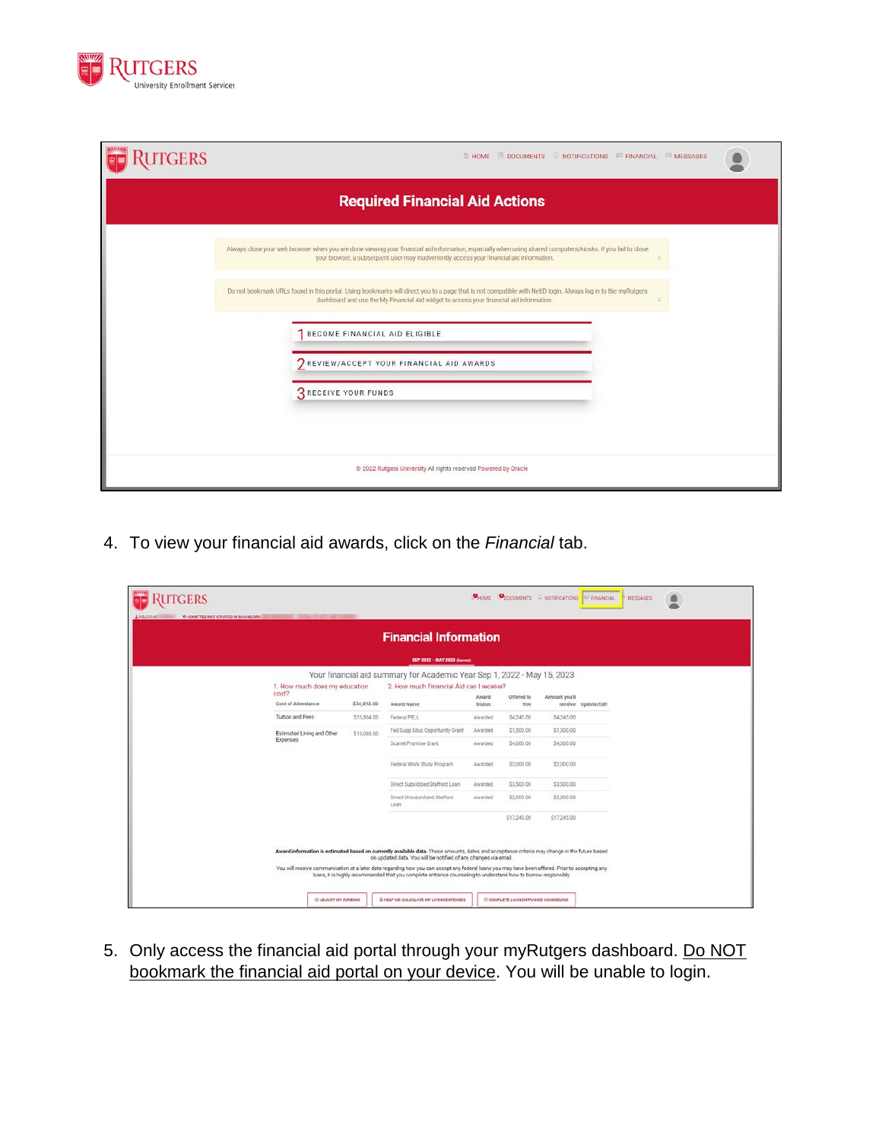

| <b>RUTGERS</b> | A HOME   DOCUMENTS   NOTIFICATIONS   C FINANCIAL   57 MESSAGES                                                                                                                                                                                          |
|----------------|---------------------------------------------------------------------------------------------------------------------------------------------------------------------------------------------------------------------------------------------------------|
|                | <b>Required Financial Aid Actions</b>                                                                                                                                                                                                                   |
|                | Always close your web browser when you are done viewing your financial aid information, especially when using shared computers/klosks. If you fail to close<br>your browser, a subsequent user may inadvertently access your financial aid information. |
|                | Do not bookmark URLs found in this portal. Using bookmarks will direct you to a page that is not compatible with NetID login. Always log in to the myRutgers<br>dashboard and use the My Financial Aid widget to access your financial aid information. |
|                | <b>BECOME FINANCIAL AID ELIGIBLE</b>                                                                                                                                                                                                                    |
|                | REVIEW/ACCEPT YOUR FINANCIAL AID AWARDS                                                                                                                                                                                                                 |
|                | <b>3 RECEIVE YOUR FUNDS</b>                                                                                                                                                                                                                             |
|                |                                                                                                                                                                                                                                                         |
|                | C 2022 Rutgers University All rights reserved Powered by Oracle                                                                                                                                                                                         |

4. To view your financial aid awards, click on the *Financial* tab.

| <b>Financial Information</b> |                                        |             |                                                                         |                        |                   |               |                     |
|------------------------------|----------------------------------------|-------------|-------------------------------------------------------------------------|------------------------|-------------------|---------------|---------------------|
|                              |                                        |             | SEP 2022 - MAY 2023 (Current)                                           |                        |                   |               |                     |
|                              |                                        |             | Your financial aid summary for Academic Year Sep 1, 2022 - May 15, 2023 |                        |                   |               |                     |
|                              | 1. How much does my education          |             | 2. How much Financial Aid can I receive?                                |                        |                   |               |                     |
| cost?<br>Cost of Attendance  |                                        | \$34,892.00 | Award Name                                                              | Award<br><b>Status</b> | Offered to<br>You | Amount you'll | receive Update/Edit |
| Tuition and Fees             |                                        | \$15,804.00 | Federal PELL                                                            | Awarded                | \$4,245.00        | \$4,245.00    |                     |
|                              | Estimated Living and Other<br>Expenses | \$19,088.00 | Fed Supp Educ Opportunity Grant                                         | Awarded                | \$1,500.00        | \$1,500.00    |                     |
|                              |                                        |             | Scarlet Promise Grant                                                   | Awarded                | \$4,000.00        | \$4,000.00    |                     |
|                              |                                        |             | Federal Work Study Program                                              | Awarded                | \$2,000.00        | \$2,000.00    |                     |
|                              |                                        |             | Direct Subsidized Stafford Loan                                         | Awarded                | \$3,500.00        | \$3,500.00    |                     |
|                              |                                        |             | Direct Unsubsidized Stafford<br>Loan                                    | Awarded                | \$2,000.00        | \$2,000.00    |                     |
|                              |                                        |             |                                                                         |                        | \$17,245.00       | \$17,245.00   |                     |

5. Only access the financial aid portal through your myRutgers dashboard. Do NOT bookmark the financial aid portal on your device. You will be unable to login.